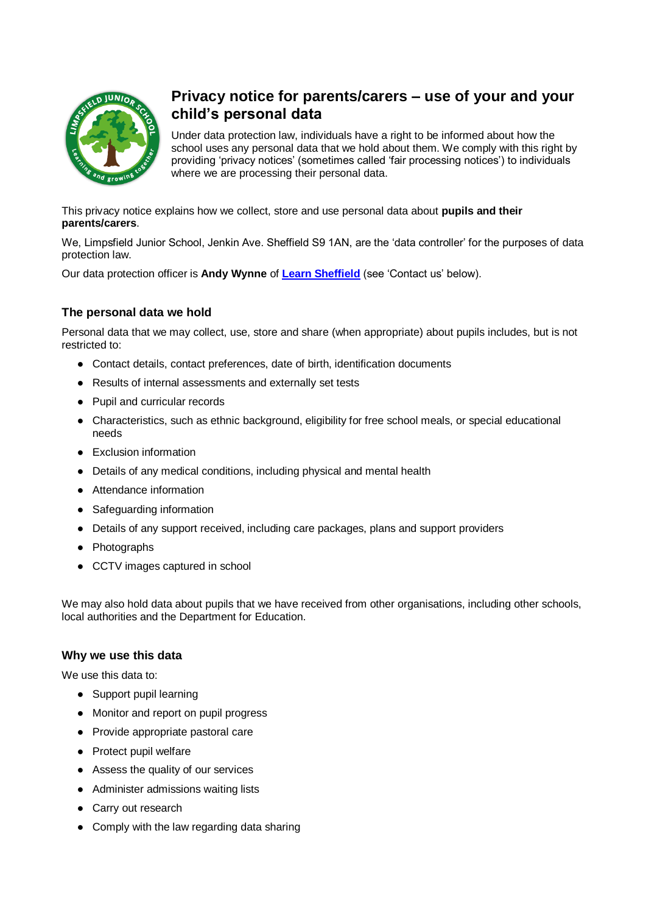

# **Privacy notice for parents/carers – use of your and your child's personal data**

Under data protection law, individuals have a right to be informed about how the school uses any personal data that we hold about them. We comply with this right by providing 'privacy notices' (sometimes called 'fair processing notices') to individuals where we are processing their personal data.

This privacy notice explains how we collect, store and use personal data about **pupils and their parents/carers**.

We, Limpsfield Junior School, Jenkin Ave. Sheffield S9 1AN, are the 'data controller' for the purposes of data protection law.

Our data protection officer is **Andy Wynne** of **[Learn Sheffield](http://www.learnsheffield.co.uk/)** (see 'Contact us' below).

# **The personal data we hold**

Personal data that we may collect, use, store and share (when appropriate) about pupils includes, but is not restricted to:

- Contact details, contact preferences, date of birth, identification documents
- Results of internal assessments and externally set tests
- Pupil and curricular records
- Characteristics, such as ethnic background, eligibility for free school meals, or special educational needs
- Exclusion information
- Details of any medical conditions, including physical and mental health
- Attendance information
- Safeguarding information
- Details of any support received, including care packages, plans and support providers
- Photographs
- CCTV images captured in school

We may also hold data about pupils that we have received from other organisations, including other schools, local authorities and the Department for Education.

### **Why we use this data**

We use this data to:

- Support pupil learning
- Monitor and report on pupil progress
- Provide appropriate pastoral care
- Protect pupil welfare
- Assess the quality of our services
- Administer admissions waiting lists
- Carry out research
- Comply with the law regarding data sharing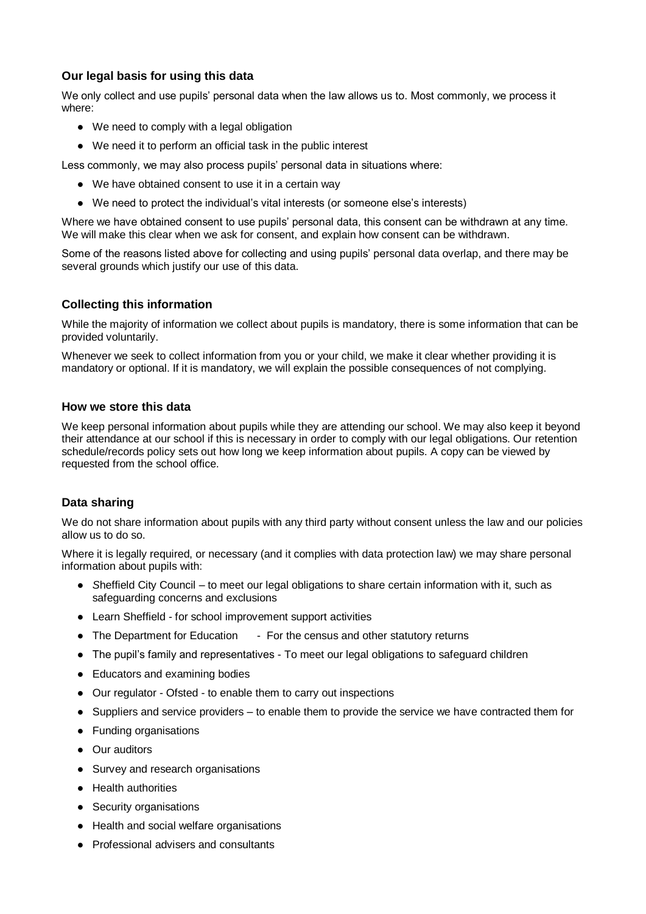# **Our legal basis for using this data**

We only collect and use pupils' personal data when the law allows us to. Most commonly, we process it where:

- We need to comply with a legal obligation
- We need it to perform an official task in the public interest

Less commonly, we may also process pupils' personal data in situations where:

- We have obtained consent to use it in a certain way
- We need to protect the individual's vital interests (or someone else's interests)

Where we have obtained consent to use pupils' personal data, this consent can be withdrawn at any time. We will make this clear when we ask for consent, and explain how consent can be withdrawn.

Some of the reasons listed above for collecting and using pupils' personal data overlap, and there may be several grounds which justify our use of this data.

### **Collecting this information**

While the majority of information we collect about pupils is mandatory, there is some information that can be provided voluntarily.

Whenever we seek to collect information from you or your child, we make it clear whether providing it is mandatory or optional. If it is mandatory, we will explain the possible consequences of not complying.

### **How we store this data**

We keep personal information about pupils while they are attending our school. We may also keep it beyond their attendance at our school if this is necessary in order to comply with our legal obligations. Our retention schedule/records policy sets out how long we keep information about pupils. A copy can be viewed by requested from the school office.

# **Data sharing**

We do not share information about pupils with any third party without consent unless the law and our policies allow us to do so.

Where it is legally required, or necessary (and it complies with data protection law) we may share personal information about pupils with:

- Sheffield City Council to meet our legal obligations to share certain information with it, such as safeguarding concerns and exclusions
- Learn Sheffield for school improvement support activities
- The Department for Education For the census and other statutory returns
- The pupil's family and representatives To meet our legal obligations to safeguard children
- Educators and examining bodies
- Our regulator Ofsted to enable them to carry out inspections
- Suppliers and service providers to enable them to provide the service we have contracted them for
- Funding organisations
- Our auditors
- Survey and research organisations
- Health authorities
- Security organisations
- Health and social welfare organisations
- Professional advisers and consultants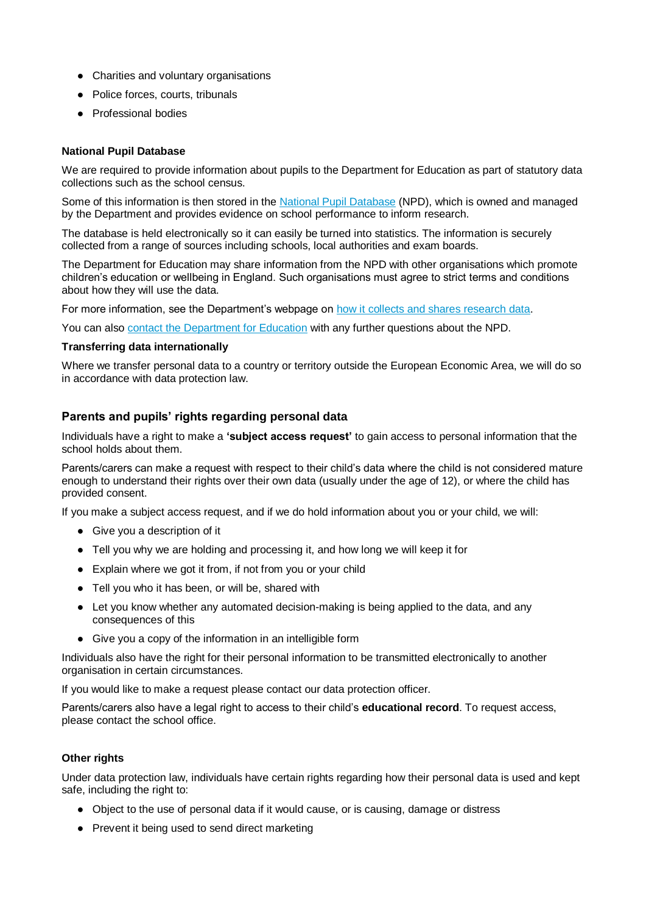- Charities and voluntary organisations
- Police forces, courts, tribunals
- Professional bodies

#### **National Pupil Database**

We are required to provide information about pupils to the Department for Education as part of statutory data collections such as the school census.

Some of this information is then stored in the [National Pupil Database](https://www.gov.uk/government/publications/national-pupil-database-user-guide-and-supporting-information) (NPD), which is owned and managed by the Department and provides evidence on school performance to inform research.

The database is held electronically so it can easily be turned into statistics. The information is securely collected from a range of sources including schools, local authorities and exam boards.

The Department for Education may share information from the NPD with other organisations which promote children's education or wellbeing in England. Such organisations must agree to strict terms and conditions about how they will use the data.

For more information, see the Department's webpage on [how it collects and shares research data.](https://www.gov.uk/data-protection-how-we-collect-and-share-research-data)

You can also [contact the Department for Education](https://www.gov.uk/contact-dfe) with any further questions about the NPD.

#### **Transferring data internationally**

Where we transfer personal data to a country or territory outside the European Economic Area, we will do so in accordance with data protection law.

### **Parents and pupils' rights regarding personal data**

Individuals have a right to make a **'subject access request'** to gain access to personal information that the school holds about them.

Parents/carers can make a request with respect to their child's data where the child is not considered mature enough to understand their rights over their own data (usually under the age of 12), or where the child has provided consent.

If you make a subject access request, and if we do hold information about you or your child, we will:

- Give you a description of it
- Tell you why we are holding and processing it, and how long we will keep it for
- Explain where we got it from, if not from you or your child
- Tell you who it has been, or will be, shared with
- Let you know whether any automated decision-making is being applied to the data, and any consequences of this
- Give you a copy of the information in an intelligible form

Individuals also have the right for their personal information to be transmitted electronically to another organisation in certain circumstances.

If you would like to make a request please contact our data protection officer.

Parents/carers also have a legal right to access to their child's **educational record**. To request access, please contact the school office.

#### **Other rights**

Under data protection law, individuals have certain rights regarding how their personal data is used and kept safe, including the right to:

- Object to the use of personal data if it would cause, or is causing, damage or distress
- Prevent it being used to send direct marketing